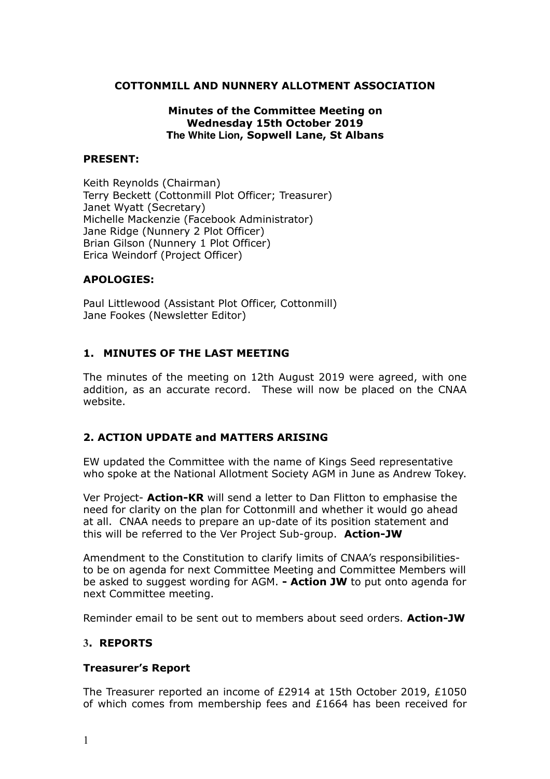## **COTTONMILL AND NUNNERY ALLOTMENT ASSOCIATION**

### **Minutes of the Committee Meeting on Wednesday 15th October 2019 The White Lion, Sopwell Lane, St Albans**

### **PRESENT:**

Keith Reynolds (Chairman) Terry Beckett (Cottonmill Plot Officer; Treasurer) Janet Wyatt (Secretary) Michelle Mackenzie (Facebook Administrator) Jane Ridge (Nunnery 2 Plot Officer) Brian Gilson (Nunnery 1 Plot Officer) Erica Weindorf (Project Officer)

### **APOLOGIES:**

Paul Littlewood (Assistant Plot Officer, Cottonmill) Jane Fookes (Newsletter Editor)

## **1. MINUTES OF THE LAST MEETING**

The minutes of the meeting on 12th August 2019 were agreed, with one addition, as an accurate record. These will now be placed on the CNAA website.

### **2. ACTION UPDATE and MATTERS ARISING**

EW updated the Committee with the name of Kings Seed representative who spoke at the National Allotment Society AGM in June as Andrew Tokey.

Ver Project- **Action-KR** will send a letter to Dan Flitton to emphasise the need for clarity on the plan for Cottonmill and whether it would go ahead at all. CNAA needs to prepare an up-date of its position statement and this will be referred to the Ver Project Sub-group. **Action-JW** 

Amendment to the Constitution to clarify limits of CNAA's responsibilitiesto be on agenda for next Committee Meeting and Committee Members will be asked to suggest wording for AGM. **- Action JW** to put onto agenda for next Committee meeting.

Reminder email to be sent out to members about seed orders. **Action-JW** 

### **3. REPORTS**

### **Treasurer's Report**

The Treasurer reported an income of £2914 at 15th October 2019, £1050 of which comes from membership fees and  $£1664$  has been received for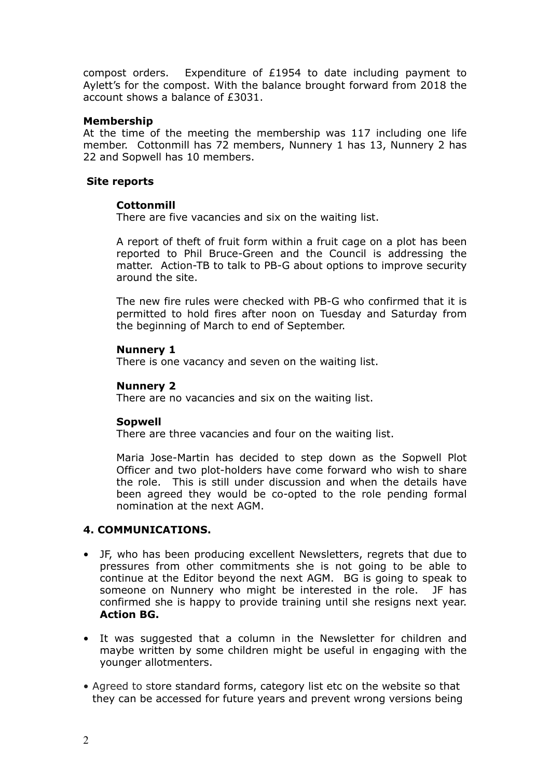compost orders. Expenditure of £1954 to date including payment to Aylett's for the compost. With the balance brought forward from 2018 the account shows a balance of £3031.

## **Membership**

At the time of the meeting the membership was 117 including one life member. Cottonmill has 72 members, Nunnery 1 has 13, Nunnery 2 has 22 and Sopwell has 10 members.

### **Site reports**

# **Cottonmill**

There are five vacancies and six on the waiting list.

A report of theft of fruit form within a fruit cage on a plot has been reported to Phil Bruce-Green and the Council is addressing the matter. Action-TB to talk to PB-G about options to improve security around the site.

The new fire rules were checked with PB-G who confirmed that it is permitted to hold fires after noon on Tuesday and Saturday from the beginning of March to end of September.

## **Nunnery 1**

There is one vacancy and seven on the waiting list.

## **Nunnery 2**

There are no vacancies and six on the waiting list.

### **Sopwell**

There are three vacancies and four on the waiting list.

Maria Jose-Martin has decided to step down as the Sopwell Plot Officer and two plot-holders have come forward who wish to share the role. This is still under discussion and when the details have been agreed they would be co-opted to the role pending formal nomination at the next AGM.

# **4. COMMUNICATIONS.**

- JF, who has been producing excellent Newsletters, regrets that due to pressures from other commitments she is not going to be able to continue at the Editor beyond the next AGM. BG is going to speak to someone on Nunnery who might be interested in the role. JF has confirmed she is happy to provide training until she resigns next year. **Action BG.**
- It was suggested that a column in the Newsletter for children and maybe written by some children might be useful in engaging with the younger allotmenters.
- Agreed to store standard forms, category list etc on the website so that they can be accessed for future years and prevent wrong versions being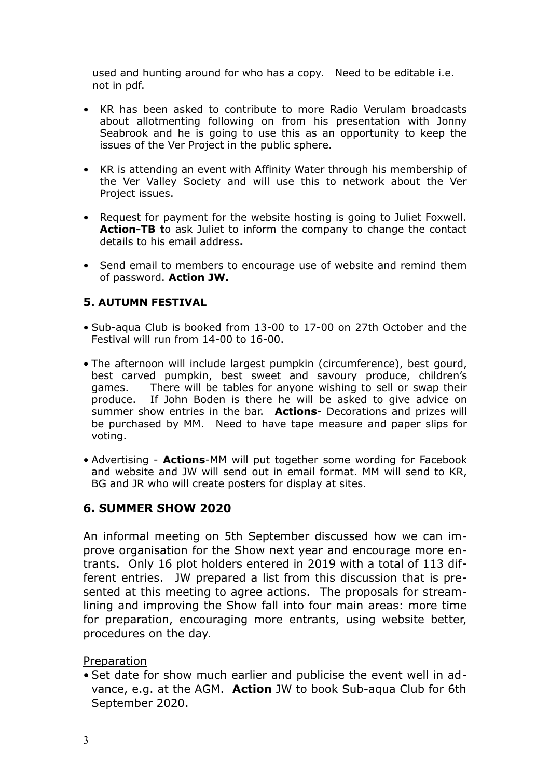used and hunting around for who has a copy. Need to be editable i.e. not in pdf.

- KR has been asked to contribute to more Radio Verulam broadcasts about allotmenting following on from his presentation with Jonny Seabrook and he is going to use this as an opportunity to keep the issues of the Ver Project in the public sphere.
- KR is attending an event with Affinity Water through his membership of the Ver Valley Society and will use this to network about the Ver Project issues.
- Request for payment for the website hosting is going to Juliet Foxwell. **Action-TB t**o ask Juliet to inform the company to change the contact details to his email address**.**
- Send email to members to encourage use of website and remind them of password. **Action JW.**

# **5. AUTUMN FESTIVAL**

- Sub-aqua Club is booked from 13-00 to 17-00 on 27th October and the Festival will run from 14-00 to 16-00.
- The afternoon will include largest pumpkin (circumference), best gourd, best carved pumpkin, best sweet and savoury produce, children's games. There will be tables for anyone wishing to sell or swap their produce. If John Boden is there he will be asked to give advice on summer show entries in the bar. **Actions**- Decorations and prizes will be purchased by MM. Need to have tape measure and paper slips for voting.
- Advertising **Actions**-MM will put together some wording for Facebook and website and JW will send out in email format. MM will send to KR, BG and JR who will create posters for display at sites.

# **6. SUMMER SHOW 2020**

An informal meeting on 5th September discussed how we can improve organisation for the Show next year and encourage more entrants. Only 16 plot holders entered in 2019 with a total of 113 different entries. JW prepared a list from this discussion that is presented at this meeting to agree actions. The proposals for streamlining and improving the Show fall into four main areas: more time for preparation, encouraging more entrants, using website better, procedures on the day.

# Preparation

• Set date for show much earlier and publicise the event well in advance, e.g. at the AGM. **Action** JW to book Sub-aqua Club for 6th September 2020.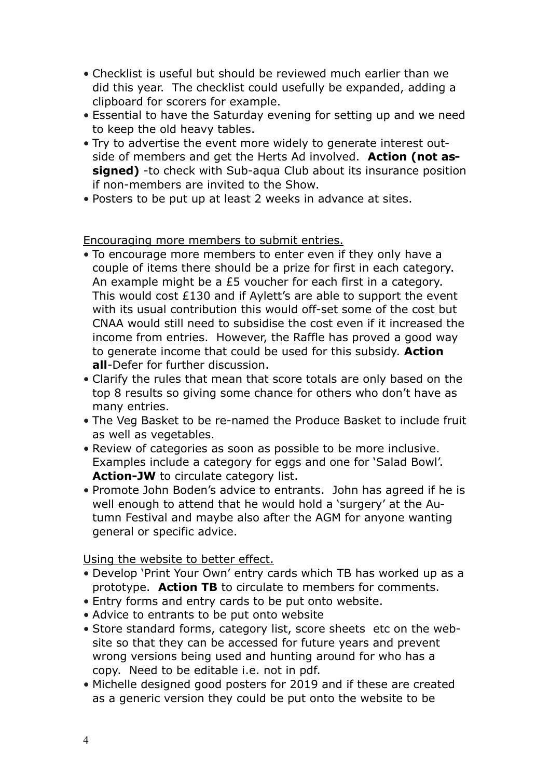- Checklist is useful but should be reviewed much earlier than we did this year. The checklist could usefully be expanded, adding a clipboard for scorers for example.
- Essential to have the Saturday evening for setting up and we need to keep the old heavy tables.
- Try to advertise the event more widely to generate interest outside of members and get the Herts Ad involved. **Action (not assigned)** -to check with Sub-aqua Club about its insurance position if non-members are invited to the Show.
- Posters to be put up at least 2 weeks in advance at sites.

Encouraging more members to submit entries.

- To encourage more members to enter even if they only have a couple of items there should be a prize for first in each category. An example might be a £5 voucher for each first in a category. This would cost £130 and if Aylett's are able to support the event with its usual contribution this would off-set some of the cost but CNAA would still need to subsidise the cost even if it increased the income from entries. However, the Raffle has proved a good way to generate income that could be used for this subsidy. **Action all**-Defer for further discussion.
- Clarify the rules that mean that score totals are only based on the top 8 results so giving some chance for others who don't have as many entries.
- The Veg Basket to be re-named the Produce Basket to include fruit as well as vegetables.
- Review of categories as soon as possible to be more inclusive. Examples include a category for eggs and one for 'Salad Bowl'. Action-JW to circulate category list.
- Promote John Boden's advice to entrants. John has agreed if he is well enough to attend that he would hold a 'surgery' at the Autumn Festival and maybe also after the AGM for anyone wanting general or specific advice.

Using the website to better effect.

- Develop 'Print Your Own' entry cards which TB has worked up as a prototype. **Action TB** to circulate to members for comments.
- Entry forms and entry cards to be put onto website.
- Advice to entrants to be put onto website
- Store standard forms, category list, score sheets etc on the website so that they can be accessed for future years and prevent wrong versions being used and hunting around for who has a copy. Need to be editable i.e. not in pdf.
- Michelle designed good posters for 2019 and if these are created as a generic version they could be put onto the website to be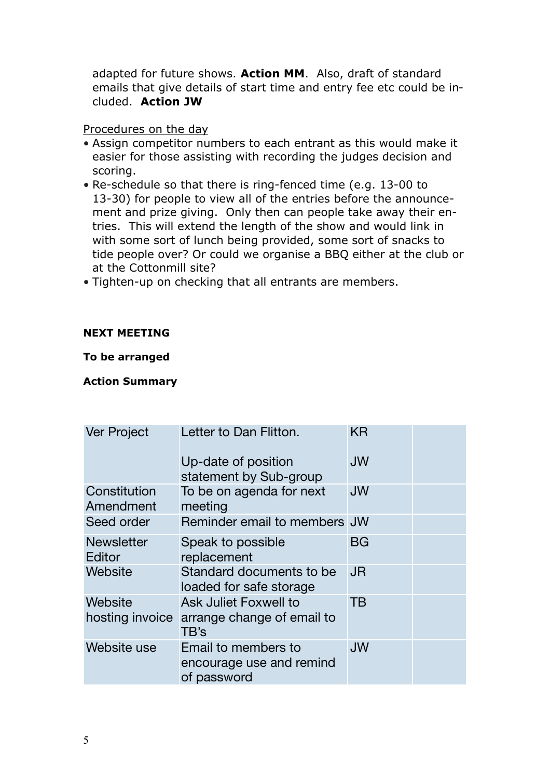adapted for future shows. **Action MM**. Also, draft of standard emails that give details of start time and entry fee etc could be included. **Action JW** 

# Procedures on the day

- Assign competitor numbers to each entrant as this would make it easier for those assisting with recording the judges decision and scoring.
- Re-schedule so that there is ring-fenced time (e.g. 13-00 to 13-30) for people to view all of the entries before the announcement and prize giving. Only then can people take away their entries. This will extend the length of the show and would link in with some sort of lunch being provided, some sort of snacks to tide people over? Or could we organise a BBQ either at the club or at the Cottonmill site?
- Tighten-up on checking that all entrants are members.

# **NEXT MEETING**

# **To be arranged**

# **Action Summary**

| <b>Ver Project</b>          | Letter to Dan Flitton.                                         | ΚR        |  |
|-----------------------------|----------------------------------------------------------------|-----------|--|
|                             | Up-date of position<br>statement by Sub-group                  | <b>JW</b> |  |
| Constitution<br>Amendment   | To be on agenda for next<br>meeting                            | <b>JW</b> |  |
| Seed order                  | Reminder email to members JW                                   |           |  |
| <b>Newsletter</b><br>Editor | Speak to possible<br>replacement                               | <b>BG</b> |  |
| Website                     | Standard documents to be<br>loaded for safe storage            | <b>JR</b> |  |
| Website                     | <b>Ask Juliet Foxwell to</b>                                   | TΒ        |  |
| hosting invoice             | arrange change of email to<br>TB's                             |           |  |
| Website use                 | Email to members to<br>encourage use and remind<br>of password | <b>JW</b> |  |